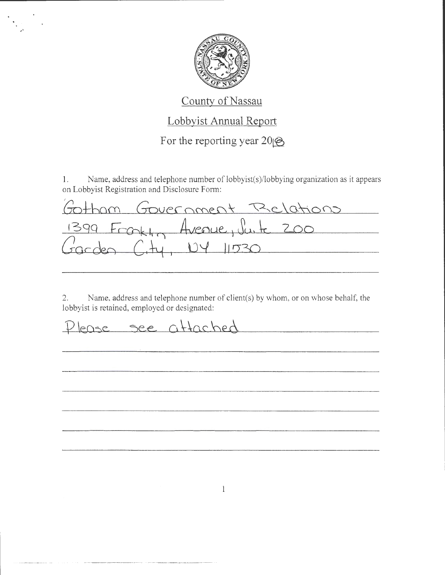

## County of Nassau

## Lobbyist Annual Report

For the reporting year  $20 \circledR$ 

Name, address and telephone number of lobbyist(s)/lobbying organization as it appears  $1.$ on Lobbyist Registration and Disclosure Form:

| Gotham Government Relations    |  |
|--------------------------------|--|
| 1399 Frontin Avenue, Junte 200 |  |
| Garden City, 104 11530         |  |

Name, address and telephone number of client(s) by whom, or on whose behalf, the  $2.$ lobbyist is retained, employed or designated:

Please see attached

 $\mathbf{1}$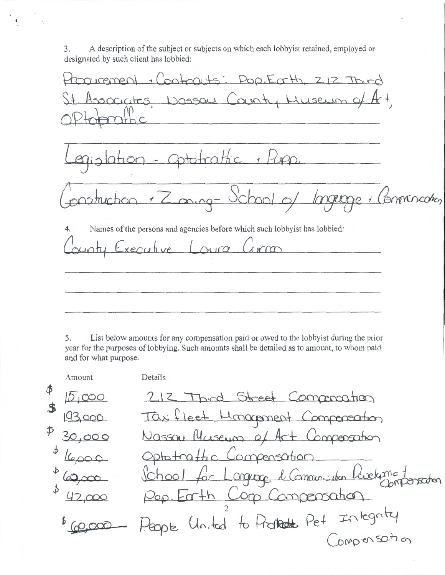A description of the subject or subjects on which each lobbyist retained, employed or 3. designated by such client has lobbied:

racement + Contracts: Pop. Earth, 212 Third Associates Dassau County Museum of **HC** Jation - Optotrattic + Puppi 1struction + Zoning- Ochool of Connercoton minne + Names of the persons and agencies before which such lobbyist has lobbied:  $\overline{4}$ . Executive Loura ounty  $1000$ 

5. List below amounts for any compensation paid or owed to the lobbyist during the prior year for the purposes of lobbying. Such amounts shall be detailed as to amount, to whom paid and for what purpose.

Amount Details Φ 212 Third Street Commonstron 10,000  $\mathbf{f}$ Taxified Monogement Compensation 193.000  $\oint$ Nassau Museum of Art Composation 30,000 Optotrattic Compensation School for Longuage & Communistien Livelaging t Pop. Earth Corp Compensation to Properte Pet Integrity United ego b Compensation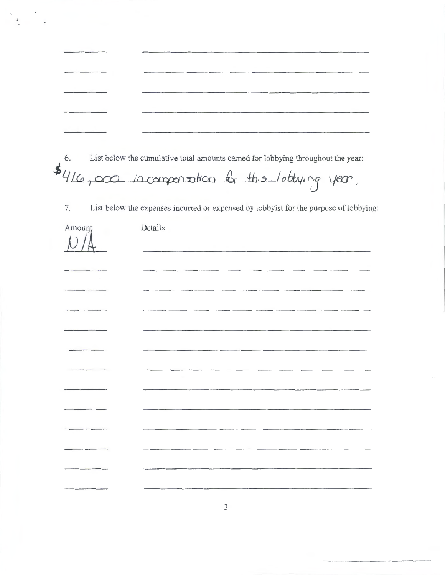| The property in the contract of the contract of the contract of the contract of                                   | <u>starting the contract of the contract of the contract of the contract of the contract of the contract of the contract of the contract of the contract of the contract of the contract of the contract of the contract of the </u> |                                                                                                                    |
|-------------------------------------------------------------------------------------------------------------------|--------------------------------------------------------------------------------------------------------------------------------------------------------------------------------------------------------------------------------------|--------------------------------------------------------------------------------------------------------------------|
| and the following construction of the construction of the construction of the construction of the construction of | the contract of the contract of                                                                                                                                                                                                      | .<br>- Charles and the first product of the product of the company of the company of the company of the company of |
| and the following contract of the contract of the contract of the contract of the contract of the contract of     |                                                                                                                                                                                                                                      |                                                                                                                    |
| ______                                                                                                            |                                                                                                                                                                                                                                      |                                                                                                                    |
|                                                                                                                   |                                                                                                                                                                                                                                      | _________                                                                                                          |

 $\pmb{\iota}$ 

 $\ddot{\cdot}$ 

List below the cumulative total amounts earned for lobbying throughout the year: 6.

\$416,000 in compensation for this lobbying year.

 $7.$ List below the expenses incurred or expensed by lobbyist for the purpose of lobbying:

| Amount | Details |
|--------|---------|
|        |         |
|        |         |
|        |         |
|        |         |
|        |         |
|        |         |
|        |         |
|        |         |
|        |         |
|        |         |
|        |         |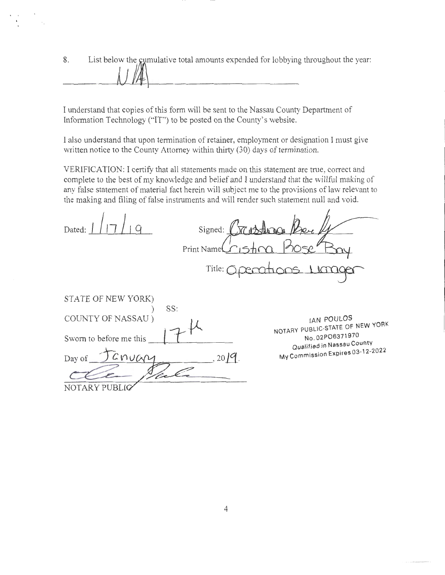8. List below the gumulative total amounts expended for lobbying throughout the year:

I understand that copies of this form will be sent to the Nassau County Department of Information Technology ("IT") to be posted on the County's website.

l also understand that upon termination of retainer, employment or designation I must give written notice to the County Attorney within thirty (30) days of termination.

VERIFICATION: I certify that all statements made on this statement are true, correct and complete to the best of my knowledge and belief and I understand that the willful making of any false statement of material fact herein will subject me to the provisions of law relevant to the making and filing of false instruments and will render such statement null and void.

 $\prime$ 

| Dated:                    | Signed: $\sqrt{\phantom{a}}$ | $\pi$ , Attenant                              |
|---------------------------|------------------------------|-----------------------------------------------|
|                           | Print Name                   |                                               |
|                           | Title: $\bigcirc$            |                                               |
| STATE OF NEW YORK)<br>SS: |                              |                                               |
| COUNTY OF NASSAU)         |                              | IAN POULOS<br>NOTARY PUBLIC-STATE OF NEW YORK |
| Sworn to before me this   |                              | No.02PO6371970<br>Qualified in Nassau County  |
| CNUGA<br>Day of           | $2019$ .                     | My Commission Expires 03-12-2022              |
| NOTARY PUBLIC             |                              |                                               |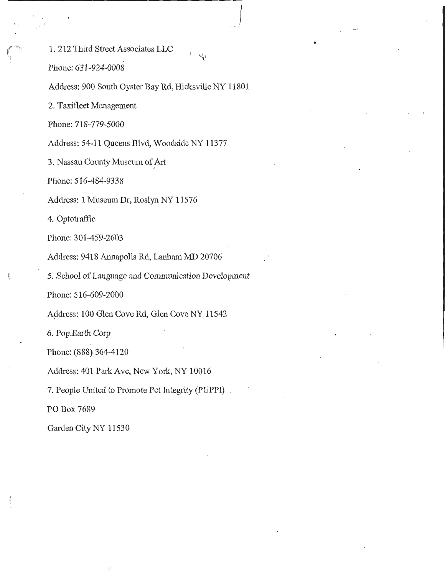1. 212 Third Street Associates LLC

 $\sum_{i=1}^n$ 

*. .'1* 

Phone: 631 ~924~0008

Address: 900 South Oyster Bay Rd, Hicksville NY 11801

2. Taxifleet Management

Phone: 718~779-5000

Address: 54-11 Queens Blvd, Woodside NY 11377

3. Nassau County Museum of Art

Phone: 516-484~9338

Address: 1 Museum Dr, Roslyn NY 11576

4. Optotraffic

Phone: 301-459-2603'

Address: 9418 Annapolis Rd, Lanham MD 20706

5. School of Language and Communication Development

Phone: 516-609-2000

Address: 100 Glen Cove Rd, Glen Cove NY 11542

6. Pop.Earth Corp

Phone: (888) 364-4120

Address: 401 Park Ave, New York, NY 10016

7. People United to Promote Pet Integrity (PUPPI)

PO Box 7689

Garden City NY 11530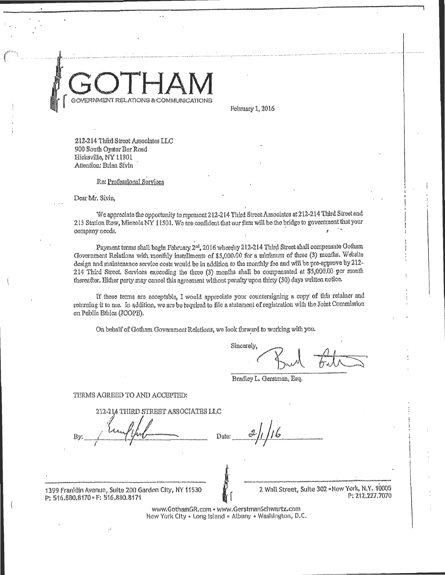February 1, 2016

212-214 Third Street Associates LLC 900 South Oyater Bar Road Hicksville, NY 11801 Attention: Brian Sivin

Re: Professional Services

Dear Mr. Sivin,

We appreciate the opportunity to represent 212-214 Third Street Associates at 212-214 Third Street and 213 Station Row, Mineola NY 11501. We are confident that our firm will be the bridge to government that your company needs.

Payment terms shall begin February 2<sup>nd</sup>, 2016 whereby 212-214 Third Street shall compensate Gotham Government Relations with monthly installments of \$5,000.00 for a minimum of three (3) months. Website design and maintenance service costs would be in addition to the monthly fee and will be pre-approve by 212-214 Third Street. Services exceeding the three (3) months shall be compansated at \$5,000.00 per month thereafter. Either party may cancel this agreement without penalty upon thirty (30) days written notice.

If these terms are acceptable, I would appreciate your countersigning a copy of this retainer and returning it to me. In addition, we are be required to file a statement of registration with the Joint Commission on Public Ethics (ICOPE).

On behalf of Gotham Government Relations, we Took forward to working with you.

Sincerely.

Bradley L. Gerstman, Esq.

#### TERMS AGREED TO AND ACCEPTED:

212-214 THIRD STREET ASSOCIATES LLC

Trater:

1399 Franklin Avenue, Suite 200 Garden City, NY 11530 P: 516.880.8170 · F: 516.880.8171

2 Wall Street, Suite 302 A New York, N.Y. 10005 P: 212.227.7070

www.GothamGR.com - www.GerstmanSchwartz.com New York City . Long Island . Albany . Washington, D.C.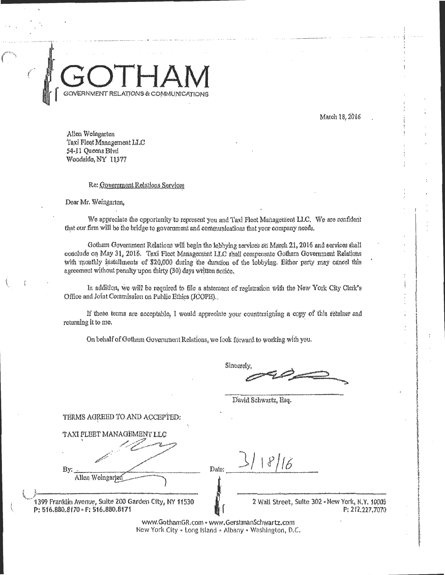March 18, 2016

Allen Wolngarten Taxi Fleet Management LLC 54-11 Queens Blvd Woodside, NY 11377

#### Re: Government Relations Services

Dear Mr. Weingarten,

We appreciate the opportunity to represent you and Taxl Fleet Management LLC. We are confident that our firm will be the bridge to government and communications that your company needs.

Gotham Government Relations will begin the lobbying services on March 21, 2016 and services shall conclude on May 31, 2016. Taxi Fleet Management LLC shall compensate Gotham Government Relations with monthly installments of \$20,000 during the duration of the lobbying. Either party may cancel this agreement without penalty upon thirty (30) days written notice.

In addition, we will be required to file a statement of registration with the New York City Clerk's Office and Joint Commission on Public Ethics (JCOPE).

If these terms are acceptable, I would appreciate your countersigning a copy of this relainer and returning it to me.

On behalf of Gotham Government Relations, we look forward to working with you.

Sincerely,

David Schwartz, Esq.

TERMS AGREED TO AND ACCEPTED:

**TAXI FLEET MANA** By: Allen Weingarten

1399 Franklin Avenue, Suite 200 Garden City, NY 11530 P: 516.880.8170 · F: 516.880.8171

 $8/16$ Date:

> 2 Wall Street, Suite 302 « New York, N.Y. 10005 P: 212.227.7070

www.GothamGR.com - www.GerstmanSchwartz.com New York City - Long Island - Albany - Washington, D.C.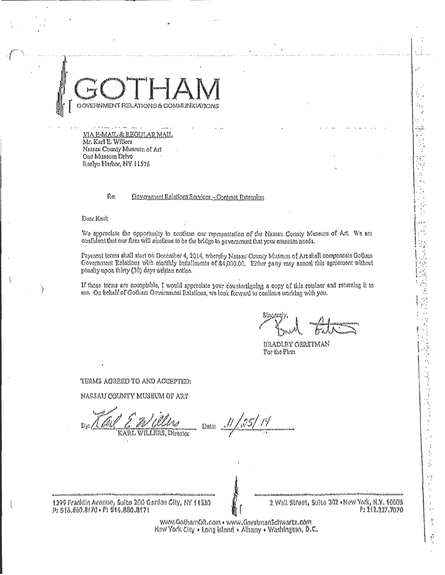# NMENT REI

VIA E-MAIL & REGULAR MAIL Mr. Karl E. Willers Nassau County Museum of Art One Museum Drive Roslyn Flarbor, NY 11576

> Re: Government Relations Services - Contract Extension

Dear Karl:

We appreciate the opportunity to continue our representation of the Nassau County Museum of Art. We are confident that our firm will continue to be the bridge to government that your museum noeds.

Payment terms shall start on December 4, 2014, whereby Nassau County Museum of Art shall compensate Gotham Government Relations with nightlify installments of \$4,000.00. Either party may cancel this agreement without penalty upon thirty (30) days written notice.

If these terms are neceptable, I would appreciate your countersigning a copy of this retulner and returning it to me. On behalf of Gotham Government Relations, we look forward to continue working with you.

以及使為感情

医心腹膜炎 网络圣代德国圣经国

j. Š ti)

 $\bar{t}$ 

 $\overset{\text{A}}{\underset{\text{F}_{\text{c}}}{\oplus}}$ 

ji.

*BRADLEY GERSTMAN* For the Firm

TERMS ACREED TO AND ACCEPTED:

NASSAU COUNTY MUSEUM OF ART

KARL WILLERS, Director

Duta

1399 Franklin Avenue, Sulte 200 Garden City, NY 11530 P: 516.880.8170 · F: 516.880.8171

2 Wall Street, Suite 302 • New York, N.Y. 10009 P: 212.227.7070

www.GothamGR.com . www.Gerstmanschwartz.com New York City . Long Island . Albany . Washington, D.C.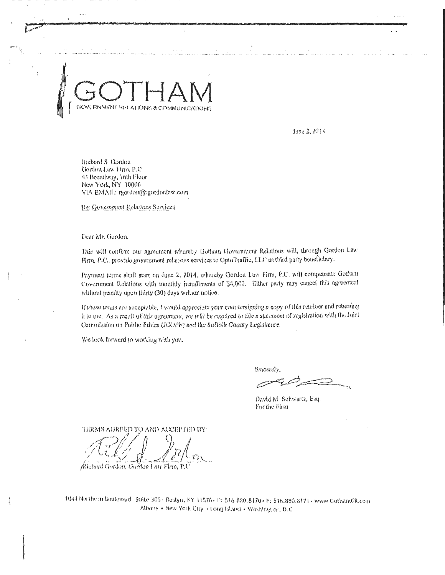June 2, 2014

Richard S. Gordon Gordon Law Firm, P.C. 45 Broadway, 16th Floor New York, NY 10006 VIA EMAIL: rgordon@rgordonlaw.com

Re: Government Rolations Services

Dear Mr. Gordon.

This will confirm our agreement whereby Gotham Government Relations will, through Gordon Law Firm, P.C., provide government relations services to OptoTraffic, LLC as third party beneficiary.

Payment terms shall start on June 2, 2014, whereby Gordon Law Firm, P.C. will compensate Gotham Government Relations with monthly installments of \$4,000. Either party may cancel this agreement without penalty upon thirty (30) days written notice.

If these terms are acceptable, I would appreciate your countersigning a copy of this retainer and returning it to me. As a result of this agreement, we will be required to file a statement of registration with the Joint Commission on Public Ethics (JCOPE) and the Suffolk County Legislature.

We look forward to working with you.

Sincerely

David M. Schwartz, Esq. For the Firm

TERMS AGREED TO AND ACCEPITED BY:

/Richard Gordon, Gordon Law Firm, P.C

1044 Northern Boulevard Suite 305 - Roslyn, NY 11576 - P: 516 880.8170 - F: 516.880.8171 - www.GothanGR.com Albany . New York City . Long Island . Washington, D.C.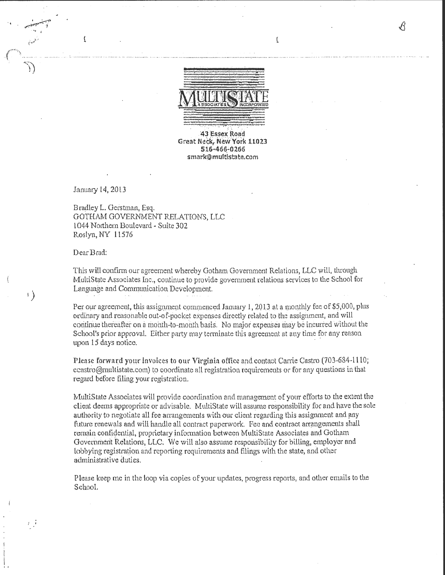

 $\boldsymbol{\mathcal{L}}$ 

√√

43 Essex Road **Great Neck, New York 11023** 516466~0265 smark@multistate.com

January 14, 20l3

t

..

• . .. **-,1** 

 $\int$ 

 $\left\vert \cdot \right\rangle$ 

 $\begin{pmatrix} 1 & 1 \\ 1 & 1 \end{pmatrix}$ 

r ji

Bradley L. Gerstman, Esq. GOTHAM GOVERNMENT RELATIONS, LLC 1044 Northern Boulevard- Suite 302 Roslyn, NY 11576

Dear Brad:

This will confirm our agreement whereby Gotham Government Relations, LLC will, through MultiState Associates Inc., continue to provide government relations services to the School for Language and Communication Development.

Per our agreement, this assignment commenced January 1, 2013 at a monthly fee of \$5,000, plus ordinary and reasohable out-at-pocket expenses directly related to the assigiunent, and will continue thereafter on a month-to-month basis. No major expenses may be incurred without the School's prior approval. Either party may terminate this agreement at any time for any reason upon 15 days notice.

Please forward your invoices to our Virginia office and contact Carrie Castro (703-684-1110; ccastro@rnultistate.com) to coordinate all registration requirements or for any questions in that regard before filing your registration.

MultiState Associates will provide coordination and management of your efforts to the extent the client deems appropriate or advisable. MultiState wilt assume responsibility for and have the sole authority to negotiate all fee arrangements with our client regarding this assignment and any future renewals and will handle all contract paperwork. Fee and contract arrangements shall remain confidential, proprietary information between MultiState Associates and Gotham Government Relations, LLC. We will also assume responsibility for billing, employer and lobbying registration and reporting requirements and filings with the state, and other administrative duties.

Please keep me in the loop via copies of your updates, progress reports, and other emails to the School.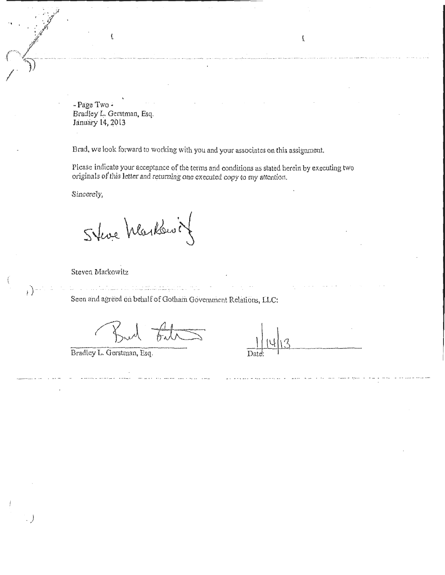- Page Two -Bradley L. Gerstman, Esq. January 14, 2013

 $\overline{\Omega}$ 

Brad, we look forward to working with you and your associates on this assignment.

Please indicate your acceptance of the terms and conditions as stated herein by executing two originals of this letter and returning one executed copy to my attention.

Sincerely,

Steve Markowit

Steven Markowitz

 $\left\{ \cdot \right\}$ 

Seen and agreed on behalf of Gotham Government Relations, LLC:

Bradley L. Gerstman, Esq.

 $\overline{I}$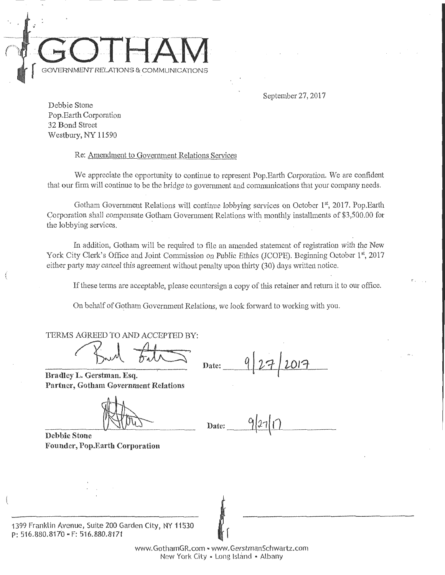

September 27,2017

!' ,

Debbie Stone Pop. Earth Corporation 32 Bond Street Westbury, NY 11590

Re: Amendment to Government Relations Services

We appreciate the opportunity to continue to represent Pop. Earth Corporation. We are confident that our firm will continue to be the bridge to government and communications that your company needs.

Gotham Government Relations will continue lobbying services on October 1st, 2017. Pop.Earth Corporation shall compensate Gotham Government Relations with monthly installments of \$3,500.00 for the lobbying services.

In addition, Gotham will be required to file an amended statement of registration with the New York City Clerk's Office and Joint Commission on Public Ethics (JCOPE). Beginning October 1<sup>st</sup>, 2017 either party may cancel this agreement without penalty upon thirty (30) days written notice.

If these terms are acceptable, please countersign a copy of this retainer and return it to our office.

On behalf of Gotham Government Relations, we look forward to working with you.

TERMS AGREED TO AND ACCEPTED BY:

Bud Falls

Bradley L. Gerstman. Esq. **Partner, Gotham Government Relations** 

 $\frac{\sqrt{2\pi}}{\sqrt{2\pi}}$  Date:  $\frac{9|27|}{1}$ 

**Founder, Pop.Earth Corporation** 

1399 Franklin Avenue, Suite 200 Garden City, NY 11530 P: 516.880.8170 "F: 516.880.8171